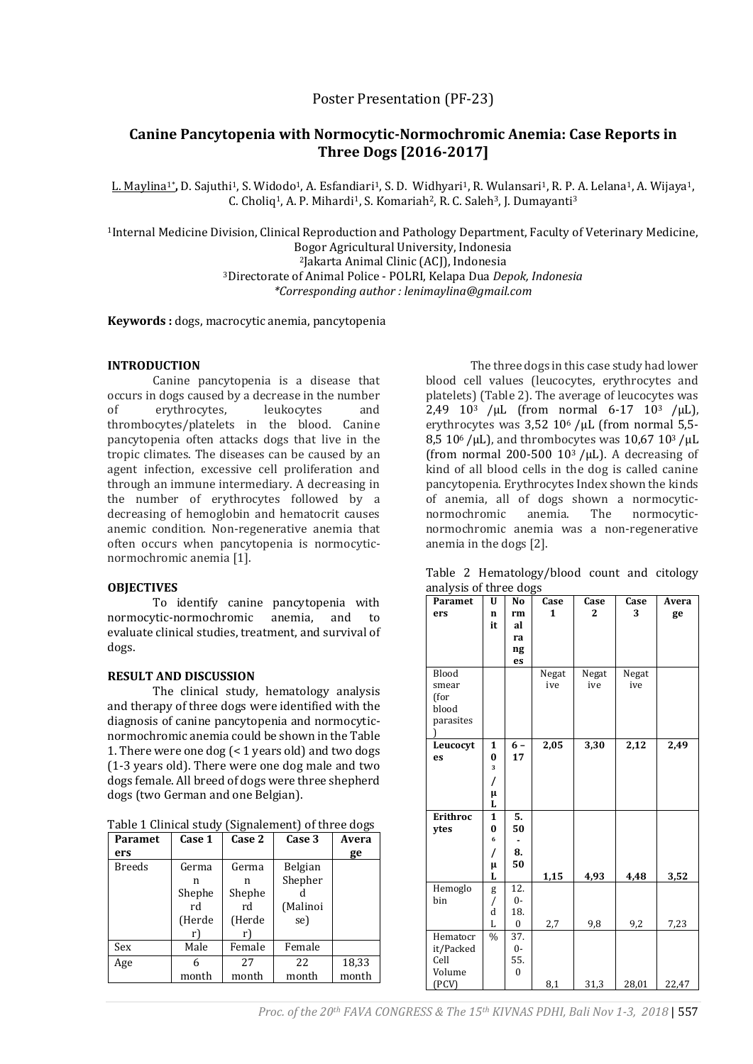## Poster Presentation (PF-23)

# **Canine Pancytopenia with Normocytic-Normochromic Anemia: Case Reports in Three Dogs [2016-2017]**

<u>L. Maylina1\*</u>, D. Sajuthi<sup>1</sup>, S. Widodo<sup>1</sup>, A. Esfandiari<sup>1</sup>, S. D. Widhyari<sup>1</sup>, R. Wulansari<sup>1</sup>, R. P. A. Lelana<sup>1</sup>, A. Wijaya<sup>1</sup>, C. Choliq<sup>1</sup>, A. P. Mihardi<sup>1</sup>, S. Komariah<sup>2</sup>, R. C. Saleh<sup>3</sup>, J. Dumayanti<sup>3</sup>

Internal Medicine Division, Clinical Reproduction and Pathology Department, Faculty of Veterinary Medicine, Bogor Agricultural University, Indonesia Jakarta Animal Clinic (ACJ), Indonesia Directorate of Animal Police - POLRI, Kelapa Dua *Depok, Indonesia*

*\*Corresponding author : lenimaylina@gmail.com*

**Keywords :** dogs, macrocytic anemia, pancytopenia

#### **INTRODUCTION**

Canine pancytopenia is a disease that occurs in dogs caused by a decrease in the number of erythrocytes, leukocytes and thrombocytes/platelets in the blood. Canine pancytopenia often attacks dogs that live in the tropic climates. The diseases can be caused by an agent infection, excessive cell proliferation and through an immune intermediary. A decreasing in the number of erythrocytes followed by a decreasing of hemoglobin and hematocrit causes anemic condition. Non-regenerative anemia that often occurs when pancytopenia is normocyticnormochromic anemia [1].

#### **OBJECTIVES**

To identify canine pancytopenia with normocytic-normochromic anemia, and to evaluate clinical studies, treatment, and survival of dogs.

#### **RESULT AND DISCUSSION**

The clinical study, hematology analysis and therapy of three dogs were identified with the diagnosis of canine pancytopenia and normocyticnormochromic anemia could be shown in the Table 1. There were one dog (< 1 years old) and two dogs (1-3 years old). There were one dog male and two dogs female. All breed of dogs were three shepherd dogs (two German and one Belgian).

| Table 1 Clinical study (Signalement) of three dogs |  |  |
|----------------------------------------------------|--|--|
|                                                    |  |  |

| Paramet       | Case 1 | Case 2 | Case 3   | Avera |
|---------------|--------|--------|----------|-------|
| ers           |        |        |          | ge    |
| <b>Breeds</b> | Germa  | Germa  | Belgian  |       |
|               | n      | n      | Shepher  |       |
|               | Shephe | Shephe |          |       |
|               | rd     | rd     | (Malinoi |       |
|               | (Herde | (Herde | se)      |       |
|               | r)     | r)     |          |       |
| Sex           | Male   | Female | Female   |       |
| Age           | 6      | 27     | 22       | 18,33 |
|               | month  | month  | month    | month |

The three dogs in this case study had lower blood cell values (leucocytes, erythrocytes and platelets) (Table 2). The average of leucocytes was 2,49  $10^3$  / $\mu$ L (from normal 6-17  $10^3$  / $\mu$ L), erythrocytes was  $3,52$  10<sup>6</sup>/µL (from normal 5,5-8,5 10 $^{6}$ /uL), and thrombocytes was 10,67 10 $^{3}$ /uL (from normal 200-500  $10^3$  /µL). A decreasing of kind of all blood cells in the dog is called canine pancytopenia. Erythrocytes Index shown the kinds of anemia, all of dogs shown a normocyticnormochromic anemia. The normocyticnormochromic anemia was a non-regenerative anemia in the dogs [2].

| Paramet         | U                                   | No               | Case  | Case         | Case  | Avera |
|-----------------|-------------------------------------|------------------|-------|--------------|-------|-------|
| ers             | n                                   | rm               | 1     | $\mathbf{2}$ | 3     | ge    |
|                 | it                                  | al               |       |              |       |       |
|                 |                                     | ra               |       |              |       |       |
|                 |                                     | ng               |       |              |       |       |
|                 |                                     | es               |       |              |       |       |
| Blood           |                                     |                  | Negat | Negat        | Negat |       |
| smear           |                                     |                  | ive   | ive          | ive   |       |
| (for            |                                     |                  |       |              |       |       |
| blood           |                                     |                  |       |              |       |       |
| parasites       |                                     |                  |       |              |       |       |
|                 |                                     |                  |       |              |       |       |
| Leucocyt        | 1                                   | $6-$             | 2,05  | 3,30         | 2,12  | 2,49  |
| es              | $\bf{0}$<br>$\overline{\mathbf{3}}$ | 17               |       |              |       |       |
|                 |                                     |                  |       |              |       |       |
|                 | /                                   |                  |       |              |       |       |
|                 | μ<br>L                              |                  |       |              |       |       |
| <b>Erithroc</b> | $\mathbf{1}$                        | 5.               |       |              |       |       |
| ytes            | $\bf{0}$                            | 50               |       |              |       |       |
|                 | 6                                   |                  |       |              |       |       |
|                 | 7                                   | 8.               |       |              |       |       |
|                 | μ                                   | 50               |       |              |       |       |
|                 | L                                   |                  | 1,15  | 4,93         | 4,48  | 3,52  |
| Hemoglo         | g                                   | 12.              |       |              |       |       |
| bin             | Τ                                   | $0-$             |       |              |       |       |
|                 | d                                   | 18.              |       |              |       |       |
|                 | L                                   | $\boldsymbol{0}$ | 2,7   | 9,8          | 9,2   | 7,23  |
| Hematocr        | $\frac{0}{0}$                       | 37.              |       |              |       |       |
| it/Packed       |                                     | $0-$             |       |              |       |       |
| Cell            |                                     | 55.              |       |              |       |       |
| Volume          |                                     | $\boldsymbol{0}$ |       |              |       |       |
| (PCV)           |                                     |                  | 8,1   | 31,3         | 28,01 | 22,47 |

Table 2 Hematology/blood count and citology analysis of three dogs